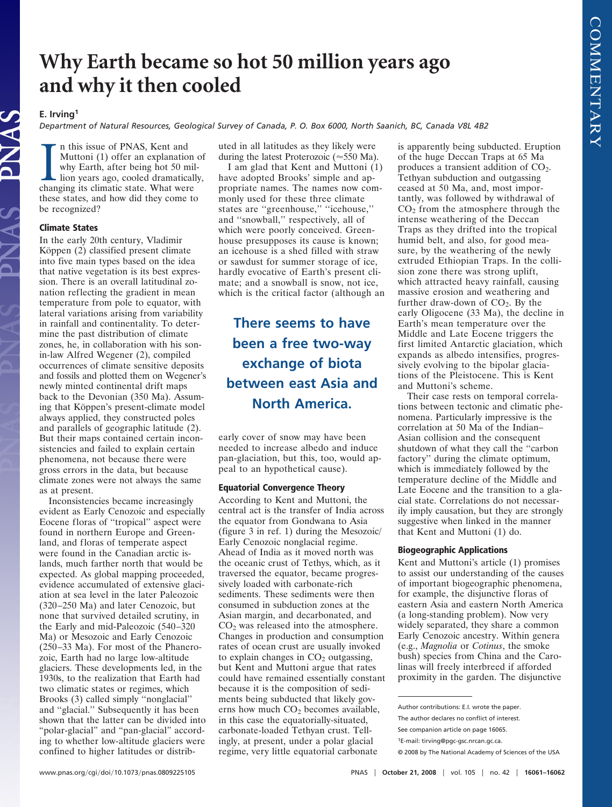# **Why Earth became so hot 50 million years ago and why it then cooled**

### **E. Irving1**

*Department of Natural Resources, Geological Survey of Canada, P. O. Box 6000, North Saanich, BC, Canada V8L 4B2*

In this issue of PNAS, Kent and<br>Muttoni (1) offer an explanation<br>why Earth, after being hot 50 mi<br>lion years ago, cooled dramatical<br>changing its climatic state. What were n this issue of PNAS, Kent and Muttoni (1) offer an explanation of why Earth, after being hot 50 million years ago, cooled dramatically, these states, and how did they come to be recognized?

#### **Climate States**

In the early 20th century, Vladimir Köppen  $(2)$  classified present climate into five main types based on the idea that native vegetation is its best expression. There is an overall latitudinal zonation reflecting the gradient in mean temperature from pole to equator, with lateral variations arising from variability in rainfall and continentality. To determine the past distribution of climate zones, he, in collaboration with his sonin-law Alfred Wegener (2), compiled occurrences of climate sensitive deposits and fossils and plotted them on Wegener's newly minted continental drift maps back to the Devonian (350 Ma). Assuming that Köppen's present-climate model always applied, they constructed poles and parallels of geographic latitude (2). But their maps contained certain inconsistencies and failed to explain certain phenomena, not because there were gross errors in the data, but because climate zones were not always the same as at present.

Inconsistencies became increasingly evident as Early Cenozoic and especially Eocene floras of ''tropical'' aspect were found in northern Europe and Greenland, and floras of temperate aspect were found in the Canadian arctic islands, much farther north that would be expected. As global mapping proceeded, evidence accumulated of extensive glaciation at sea level in the later Paleozoic (320–250 Ma) and later Cenozoic, but none that survived detailed scrutiny, in the Early and mid-Paleozoic (540–320 Ma) or Mesozoic and Early Cenozoic (250–33 Ma). For most of the Phanerozoic, Earth had no large low-altitude glaciers. These developments led, in the 1930s, to the realization that Earth had two climatic states or regimes, which Brooks (3) called simply ''nonglacial'' and ''glacial.'' Subsequently it has been shown that the latter can be divided into "polar-glacial" and "pan-glacial" according to whether low-altitude glaciers were confined to higher latitudes or distributed in all latitudes as they likely were during the latest Proterozoic ( $\approx$  550 Ma).

I am glad that Kent and Muttoni (1) have adopted Brooks' simple and appropriate names. The names now commonly used for these three climate states are ''greenhouse,'' ''icehouse,'' and ''snowball,'' respectively, all of which were poorly conceived. Greenhouse presupposes its cause is known; an icehouse is a shed filled with straw or sawdust for summer storage of ice, hardly evocative of Earth's present climate; and a snowball is snow, not ice, which is the critical factor (although an

## **There seems to have been a free two-way exchange of biota between east Asia and North America.**

early cover of snow may have been needed to increase albedo and induce pan-glaciation, but this, too, would appeal to an hypothetical cause).

### **Equatorial Convergence Theory**

According to Kent and Muttoni, the central act is the transfer of India across the equator from Gondwana to Asia (figure 3 in ref. 1) during the Mesozoic/ Early Cenozoic nonglacial regime. Ahead of India as it moved north was the oceanic crust of Tethys, which, as it traversed the equator, became progressively loaded with carbonate-rich sediments. These sediments were then consumed in subduction zones at the Asian margin, and decarbonated, and  $CO<sub>2</sub>$  was released into the atmosphere. Changes in production and consumption rates of ocean crust are usually invoked to explain changes in  $CO<sub>2</sub>$  outgassing, but Kent and Muttoni argue that rates could have remained essentially constant because it is the composition of sediments being subducted that likely governs how much  $CO<sub>2</sub>$  becomes available, in this case the equatorially-situated, carbonate-loaded Tethyan crust. Tellingly, at present, under a polar glacial regime, very little equatorial carbonate

is apparently being subducted. Eruption of the huge Deccan Traps at 65 Ma produces a transient addition of  $CO<sub>2</sub>$ . Tethyan subduction and outgassing ceased at 50 Ma, and, most importantly, was followed by withdrawal of  $CO<sub>2</sub>$  from the atmosphere through the intense weathering of the Deccan Traps as they drifted into the tropical humid belt, and also, for good measure, by the weathering of the newly extruded Ethiopian Traps. In the collision zone there was strong uplift, which attracted heavy rainfall, causing massive erosion and weathering and further draw-down of  $CO<sub>2</sub>$ . By the early Oligocene (33 Ma), the decline in Earth's mean temperature over the Middle and Late Eocene triggers the first limited Antarctic glaciation, which expands as albedo intensifies, progressively evolving to the bipolar glaciations of the Pleistocene. This is Kent and Muttoni's scheme.

Their case rests on temporal correlations between tectonic and climatic phenomena. Particularly impressive is the correlation at 50 Ma of the Indian– Asian collision and the consequent shutdown of what they call the ''carbon factory'' during the climate optimum, which is immediately followed by the temperature decline of the Middle and Late Eocene and the transition to a glacial state. Correlations do not necessarily imply causation, but they are strongly suggestive when linked in the manner that Kent and Muttoni (1) do.

### **Biogeographic Applications**

Kent and Muttoni's article (1) promises to assist our understanding of the causes of important biogeographic phenomena, for example, the disjunctive floras of eastern Asia and eastern North America (a long-standing problem). Now very widely separated, they share a common Early Cenozoic ancestry. Within genera (e.g., *Magnolia* or *Cotinus*, the smoke bush) species from China and the Carolinas will freely interbreed if afforded proximity in the garden. The disjunctive

Author contributions: E.I. wrote the paper.

The author declares no conflict of interest.

See companion article on page 16065.

<sup>1</sup>E-mail: tirving@pgc-gsc.nrcan.gc.ca.

<sup>© 2008</sup> by The National Academy of Sciences of the USA